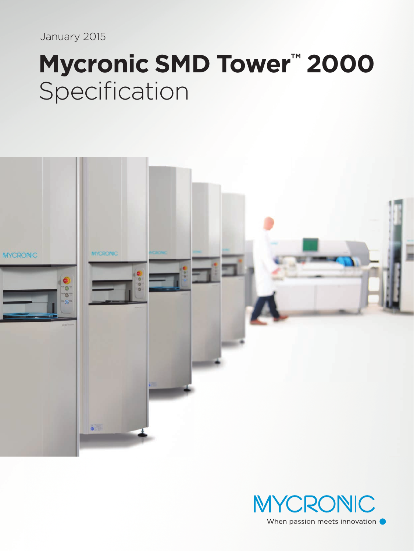January 2015

# **Mycronic SMD Tower™ 2000** Specification





When passion meets innovation .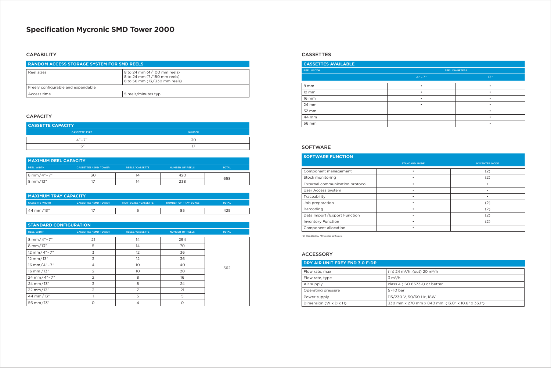# **Specification Mycronic SMD Tower 2000**

### **CAPABILITY**

| <b>RANDOM ACCESS STORAGE SYSTEM FOR SMD REELS</b> |                                                                                            |  |
|---------------------------------------------------|--------------------------------------------------------------------------------------------|--|
| Reel sizes                                        | 8 to 24 mm (4/100 mm reels)<br>8 to 24 mm (7/180 mm reels)<br>8 to 56 mm (13/330 mm reels) |  |
| Freely configurable and expandable                |                                                                                            |  |
| Access time                                       | 5 reels/minutes typ.                                                                       |  |

# **CAPACITY**

# **STANDARD CONFIGURATION**

| <b>REEL WIDTH</b> | <b>CASSETTES / SMD TOWER</b> | <b>REELS/CASSETTE</b> | <b>NUMBER OF REELS</b> | <b>TOTAL</b> |
|-------------------|------------------------------|-----------------------|------------------------|--------------|
| 8 mm/4"-7"        | 21                           | 14                    | 294                    |              |
| 8 mm/13"          | 5                            | 14                    | 70                     |              |
| 12 mm/4"-7"       | 3                            | 12                    | 36                     |              |
| 12 mm/13"         | 3                            | 12                    | 36                     |              |
| 16 mm/4"-7"       | 4                            | 10                    | 40                     | 562          |
| 16 mm /13"        | 2                            | 10 <sup>°</sup>       | 20                     |              |
| 24 mm/4"-7"       | $\overline{2}$               | 8                     | 16                     |              |
| 24 mm/13"         | 3                            | 8                     | 24                     |              |
| 32 mm/13"         | 3                            | $\overline{7}$        | 21                     |              |
| 44 mm/13"         |                              | 5                     | 5                      |              |
| 56 mm/13"         | O                            | $\overline{4}$        | $\Omega$               |              |

| <b>MAXIMUM REEL CAPACITY</b> |                              |                       |                        |              |
|------------------------------|------------------------------|-----------------------|------------------------|--------------|
| <b>REEL WIDTH</b>            | <b>CASSETTES / SMD TOWER</b> | <b>REELS/CASSETTE</b> | <b>NUMBER OF REELS</b> | <b>TOTAL</b> |
| l 8 mm/4"-7"                 | 30                           |                       | 420                    |              |
| $8 \text{ mm}/13$ "          |                              | IД                    | 238                    | 658          |

| <b>MAXIMUM TRAY CAPACITY</b> |                              |                            |                      |              |
|------------------------------|------------------------------|----------------------------|----------------------|--------------|
| <b>CASSETTE WIDTH</b>        | <b>CASSETTES / SMD TOWER</b> | <b>TRAY BOXES/CASSETTE</b> | NUMBER OF TRAY BOXES | <b>TOTAL</b> |
| 44 mm/13"                    |                              |                            | 85                   | 425          |

| <b>CASSETTE CAPACITY</b> |               |  |
|--------------------------|---------------|--|
| <b>CASSETTE TYPE</b>     | <b>NUMBER</b> |  |
| $\Delta'' - 7''$         | 30            |  |
| 171<br>ت ا               |               |  |

| <b>CASSETTES AVAILABLE</b> |                       |     |  |
|----------------------------|-----------------------|-----|--|
| <b>REEL WIDTH</b>          | <b>REEL DIAMETERS</b> |     |  |
|                            | $4" - 7"$             | 13" |  |
| 8 mm                       |                       |     |  |
| $12 \, \text{mm}$          | ٠                     |     |  |
| 16 mm                      |                       |     |  |
| 24 mm                      | $\bullet$             |     |  |
| 32 mm                      |                       |     |  |
| 44 mm                      |                       |     |  |
| 56 mm                      |                       |     |  |

# CASSETTES

| DRY AIR UNIT FREY FND 3.0 F-DP    |                                                       |  |
|-----------------------------------|-------------------------------------------------------|--|
| Flow rate, max                    | (in) 24 m <sup>3</sup> /h, (out) 20 m <sup>3</sup> /h |  |
| Flow rate, type                   | $3 \text{ m}^3/h$                                     |  |
| Air supply                        | class 4 (ISO 8573-1) or better                        |  |
| Operating pressure                | $5-10$ bar                                            |  |
| Power supply                      | 115/230 V, 50/60 Hz, 18W                              |  |
| Dimension $(W \times D \times H)$ | 330 mm x 270 mm x 840 mm (13.0" x 10.6" x 33.1")      |  |

#### ACCESSORY

| <b>SOFTWARE FUNCTION</b>        |                      |                      |
|---------------------------------|----------------------|----------------------|
|                                 | <b>STANDARD MODE</b> | <b>MYCENTER MODE</b> |
| Component management            |                      | (2)                  |
| Stock monitoring                |                      | (2)                  |
| External communication protocol |                      |                      |
| User Access System              |                      |                      |
| Traceability                    | ٠                    |                      |
| Job preparation                 | ٠                    | (2)                  |
| Barcoding                       | ٠                    | (2)                  |
| Data Import/Export Function     | ٠                    | (2)                  |
| <b>Inventory Function</b>       | ٠                    | (2)                  |
| Component allocation            |                      |                      |

(2) Handled by MYCenter software.

## SOFTWARE